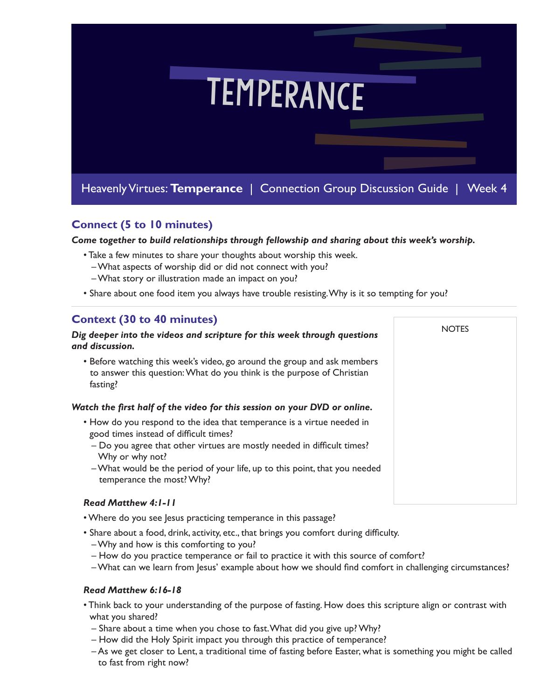

## **Connect (5 to 10 minutes)**

*Come together to build relationships through fellowship and sharing about this week's worship.* 

- Take a few minutes to share your thoughts about worship this week.
	- What aspects of worship did or did not connect with you?
	- What story or illustration made an impact on you?
- Share about one food item you always have trouble resisting. Why is it so tempting for you?

**NOTES** 

## **Context (30 to 40 minutes)**

### *Dig deeper into the videos and scripture for this week through questions and discussion.*

• Before watching this week's video, go around the group and ask members to answer this question: What do you think is the purpose of Christian fasting?

## *Watch the first half of the video for this session on your DVD or online.*

- How do you respond to the idea that temperance is a virtue needed in good times instead of difficult times?
	- Do you agree that other virtues are mostly needed in difficult times? Why or why not?
	- What would be the period of your life, up to this point, that you needed temperance the most? Why?

## *Read Matthew 4:1-11*

- Where do you see Jesus practicing temperance in this passage?
- Share about a food, drink, activity, etc., that brings you comfort during difficulty.
	- Why and how is this comforting to you?
	- How do you practice temperance or fail to practice it with this source of comfort?
	- What can we learn from Jesus' example about how we should find comfort in challenging circumstances?

## *Read Matthew 6:16-18*

- Think back to your understanding of the purpose of fasting. How does this scripture align or contrast with what you shared?
	- Share about a time when you chose to fast. What did you give up? Why?
	- How did the Holy Spirit impact you through this practice of temperance?
	- As we get closer to Lent, a traditional time of fasting before Easter, what is something you might be called to fast from right now?